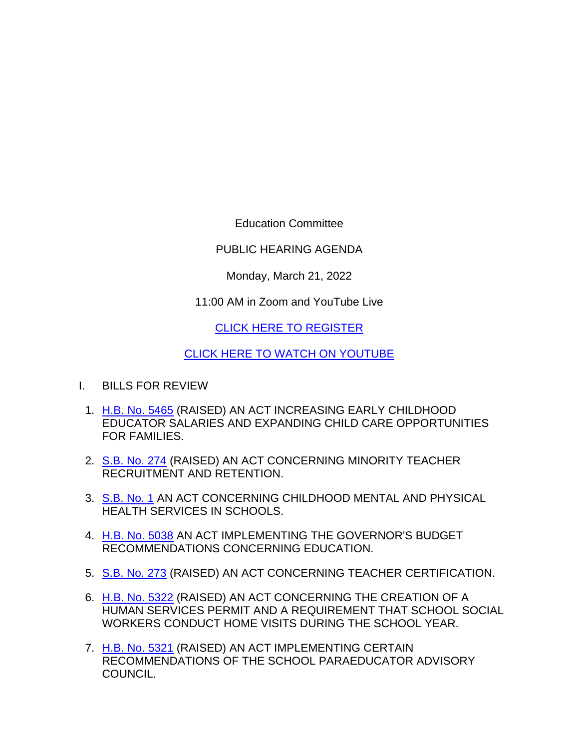Education Committee

PUBLIC HEARING AGENDA

Monday, March 21, 2022

11:00 AM in Zoom and YouTube Live

[CLICK HERE TO REGISTER](https://zoom.us/webinar/register/WN_ueZz45MtTAOQm3MQB5w9Uw)

[CLICK HERE TO WATCH ON YOUTUBE](https://www.youtube.com/channel/UCraMimcKyMoYpb5ouHG71kw/live)

- I. BILLS FOR REVIEW
	- 1. [H.B. No. 5465](http://www.cga.ct.gov/asp/cgabillstatus/cgabillstatus.asp?selBillType=Bill&bill_num=HB05465&which_year=2022) (RAISED) AN ACT INCREASING EARLY CHILDHOOD EDUCATOR SALARIES AND EXPANDING CHILD CARE OPPORTUNITIES FOR FAMILIES.
	- 2. [S.B. No. 274](http://www.cga.ct.gov/asp/cgabillstatus/cgabillstatus.asp?selBillType=Bill&bill_num=SB00274&which_year=2022) (RAISED) AN ACT CONCERNING MINORITY TEACHER RECRUITMENT AND RETENTION.
	- 3. [S.B. No. 1](http://www.cga.ct.gov/asp/cgabillstatus/cgabillstatus.asp?selBillType=Bill&bill_num=SB00001&which_year=2022) AN ACT CONCERNING CHILDHOOD MENTAL AND PHYSICAL HEALTH SERVICES IN SCHOOLS.
	- 4. [H.B. No. 5038](http://www.cga.ct.gov/asp/cgabillstatus/cgabillstatus.asp?selBillType=Bill&bill_num=HB05038&which_year=2022) AN ACT IMPLEMENTING THE GOVERNOR'S BUDGET RECOMMENDATIONS CONCERNING EDUCATION.
	- 5. [S.B. No. 273](http://www.cga.ct.gov/asp/cgabillstatus/cgabillstatus.asp?selBillType=Bill&bill_num=SB00273&which_year=2022) (RAISED) AN ACT CONCERNING TEACHER CERTIFICATION.
	- 6. [H.B. No. 5322](http://www.cga.ct.gov/asp/cgabillstatus/cgabillstatus.asp?selBillType=Bill&bill_num=HB05322&which_year=2022) (RAISED) AN ACT CONCERNING THE CREATION OF A HUMAN SERVICES PERMIT AND A REQUIREMENT THAT SCHOOL SOCIAL WORKERS CONDUCT HOME VISITS DURING THE SCHOOL YEAR.
	- 7. [H.B. No. 5321](http://www.cga.ct.gov/asp/cgabillstatus/cgabillstatus.asp?selBillType=Bill&bill_num=HB05321&which_year=2022) (RAISED) AN ACT IMPLEMENTING CERTAIN RECOMMENDATIONS OF THE SCHOOL PARAEDUCATOR ADVISORY COUNCIL.